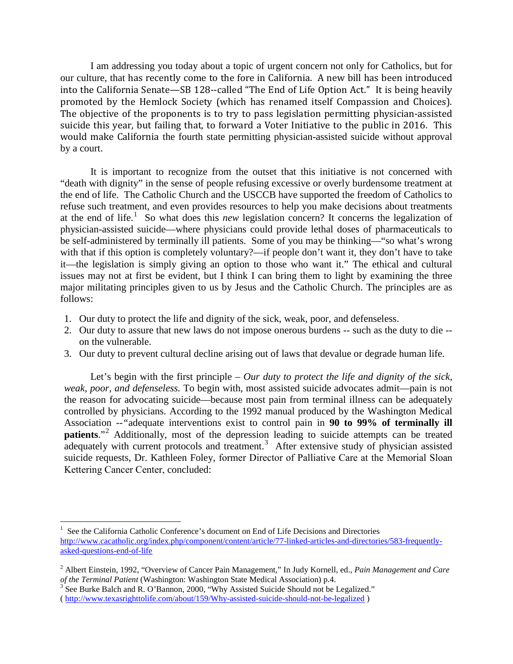I am addressing you today about a topic of urgent concern not only for Catholics, but for our culture, that has recently come to the fore in California. A new bill has been introduced into the California Senate—SB 128--called "The End of Life Option Act." It is being heavily promoted by the Hemlock Society (which has renamed itself Compassion and Choices). The objective of the proponents is to try to pass legislation permitting physician-assisted suicide this year, but failing that, to forward a Voter Initiative to the public in 2016. This would make California the fourth state permitting physician-assisted suicide without approval by a court.

It is important to recognize from the outset that this initiative is not concerned with "death with dignity" in the sense of people refusing excessive or overly burdensome treatment at the end of life. The Catholic Church and the USCCB have supported the freedom of Catholics to refuse such treatment, and even provides resources to help you make decisions about treatments at the end of life.<sup>[1](#page-0-0)</sup> So what does this *new* legislation concern? It concerns the legalization of physician-assisted suicide—where physicians could provide lethal doses of pharmaceuticals to be self-administered by terminally ill patients. Some of you may be thinking—"so what's wrong with that if this option is completely voluntary?—if people don't want it, they don't have to take it—the legislation is simply giving an option to those who want it." The ethical and cultural issues may not at first be evident, but I think I can bring them to light by examining the three major militating principles given to us by Jesus and the Catholic Church. The principles are as follows:

- 1. Our duty to protect the life and dignity of the sick, weak, poor, and defenseless.
- 2. Our duty to assure that new laws do not impose onerous burdens -- such as the duty to die on the vulnerable.
- 3. Our duty to prevent cultural decline arising out of laws that devalue or degrade human life.

Let's begin with the first principle – *Our duty to protect the life and dignity of the sick, weak, poor, and defenseless.* To begin with, most assisted suicide advocates admit—pain is not the reason for advocating suicide—because most pain from terminal illness can be adequately controlled by physicians. According to the 1992 manual produced by the Washington Medical Association --*"*adequate interventions exist to control pain in **90 to 99% of terminally ill patients.**"<sup>[2](#page-0-1)</sup> Additionally, most of the depression leading to suicide attempts can be treated adequately with current protocols and treatment.<sup>[3](#page-0-2)</sup> After extensive study of physician assisted suicide requests, Dr. Kathleen Foley, former Director of Palliative Care at the Memorial Sloan Kettering Cancer Center, concluded:

<span id="page-0-0"></span> $\frac{1}{1}$  See the California Catholic Conference's document on End of Life Decisions and Directories [http://www.cacatholic.org/index.php/component/content/article/77-linked-articles-and-directories/583-frequently](http://www.cacatholic.org/index.php/component/content/article/77-linked-articles-and-directories/583-frequently-asked-questions-end-of-life)[asked-questions-end-of-life](http://www.cacatholic.org/index.php/component/content/article/77-linked-articles-and-directories/583-frequently-asked-questions-end-of-life)

<span id="page-0-1"></span><sup>2</sup> Albert Einstein, 1992, "Overview of Cancer Pain Management," In Judy Kornell, ed., *Pain Management and Care of the Terminal Patient* (Washington: Washington State Medical Association) p.4. <sup>3</sup> See Burke Balch and R. O'Bannon, 2000, "Why Assisted Suicide Should not be Legalized."

<span id="page-0-2"></span><sup>(</sup><http://www.texasrighttolife.com/about/159/Why-assisted-suicide-should-not-be-legalized> )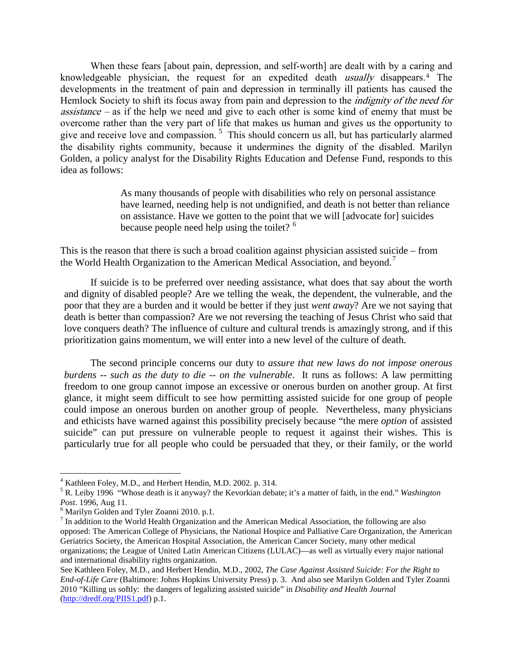When these fears [about pain, depression, and self-worth] are dealt with by a caring and knowledgeable physician, the request for an expedited death usually disappears.[4](#page-1-0) The developments in the treatment of pain and depression in terminally ill patients has caused the Hemlock Society to shift its focus away from pain and depression to the *indignity of the need for* assistance – as if the help we need and give to each other is some kind of enemy that must be overcome rather than the very part of life that makes us human and gives us the opportunity to give and receive love and compassion.<sup>[5](#page-1-1)</sup> This should concern us all, but has particularly alarmed the disability rights community, because it undermines the dignity of the disabled. Marilyn Golden, a policy analyst for the Disability Rights Education and Defense Fund, responds to this idea as follows:

> As many thousands of people with disabilities who rely on personal assistance have learned, needing help is not undignified, and death is not better than reliance on assistance. Have we gotten to the point that we will [advocate for] suicides because people need help using the toilet? <sup>[6](#page-1-2)</sup>

This is the reason that there is such a broad coalition against physician assisted suicide – from the World Health Organization to the American Medical Association, and beyond.<sup>[7](#page-1-3)</sup>

If suicide is to be preferred over needing assistance, what does that say about the worth and dignity of disabled people? Are we telling the weak, the dependent, the vulnerable, and the poor that they are a burden and it would be better if they just *went away*? Are we not saying that death is better than compassion? Are we not reversing the teaching of Jesus Christ who said that love conquers death? The influence of culture and cultural trends is amazingly strong, and if this prioritization gains momentum, we will enter into a new level of the culture of death.

The second principle concerns our duty to *assure that new laws do not impose onerous burdens -- such as the duty to die -- on the vulnerable*. It runs as follows: A law permitting freedom to one group cannot impose an excessive or onerous burden on another group. At first glance, it might seem difficult to see how permitting assisted suicide for one group of people could impose an onerous burden on another group of people. Nevertheless, many physicians and ethicists have warned against this possibility precisely because "the mere *option* of assisted suicide" can put pressure on vulnerable people to request it against their wishes. This is particularly true for all people who could be persuaded that they, or their family, or the world

<span id="page-1-1"></span><span id="page-1-0"></span><sup>&</sup>lt;sup>4</sup> Kathleen Foley, M.D., and Herbert Hendin, M.D. 2002. p. 314.<br><sup>5</sup> R. Leiby 1996 "Whose death is it anyway? the Kevorkian debate; it's a matter of faith, in the end." *Washington Post*. 1996, Aug 11.

<span id="page-1-3"></span><span id="page-1-2"></span><sup>&</sup>lt;sup>6</sup> Marilyn Golden and Tyler Zoanni 2010. p.1.<br><sup>7</sup> In addition to the World Health Organization and the American Medical Association, the following are also opposed: The American College of Physicians, the National Hospice and Palliative Care Organization, the American Geriatrics Society, the American Hospital Association, the American Cancer Society, many other medical organizations; the League of United Latin American Citizens (LULAC)—as well as virtually every major national and international disability rights organization.

See Kathleen Foley, M.D., and Herbert Hendin, M.D., 2002, *The Case Against Assisted Suicide: For the Right to End-of-Life Care* (Baltimore: Johns Hopkins University Press) p. 3. And also see Marilyn Golden and Tyler Zoanni 2010 "Killing us softly: the dangers of legalizing assisted suicide" in *Disability and Health Journal* [\(http://dredf.org/PIIS1.pdf\)](http://dredf.org/PIIS1.pdf) p.1.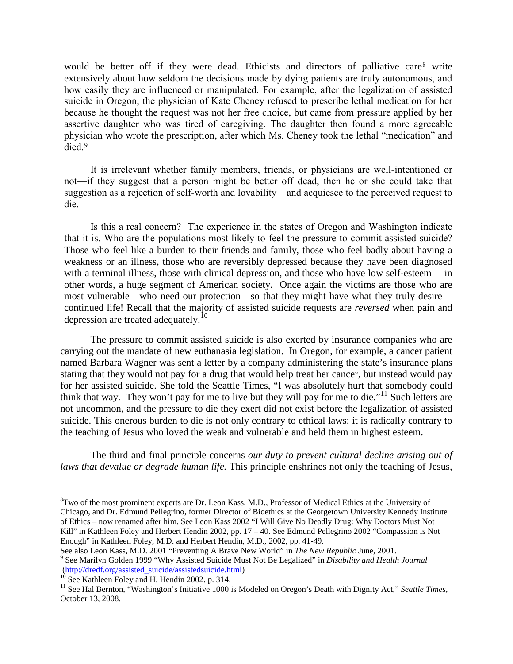would be better off if they were dead. Ethicists and directors of palliative care<sup>[8](#page-2-0)</sup> write extensively about how seldom the decisions made by dying patients are truly autonomous, and how easily they are influenced or manipulated. For example, after the legalization of assisted suicide in Oregon, the physician of Kate Cheney refused to prescribe lethal medication for her because he thought the request was not her free choice, but came from pressure applied by her assertive daughter who was tired of caregiving. The daughter then found a more agreeable physician who wrote the prescription, after which Ms. Cheney took the lethal "medication" and died.[9](#page-2-1)

It is irrelevant whether family members, friends, or physicians are well-intentioned or not—if they suggest that a person might be better off dead, then he or she could take that suggestion as a rejection of self-worth and lovability – and acquiesce to the perceived request to die.

Is this a real concern? The experience in the states of Oregon and Washington indicate that it is. Who are the populations most likely to feel the pressure to commit assisted suicide? Those who feel like a burden to their friends and family, those who feel badly about having a weakness or an illness, those who are reversibly depressed because they have been diagnosed with a terminal illness, those with clinical depression, and those who have low self-esteem —in other words, a huge segment of American society. Once again the victims are those who are most vulnerable—who need our protection—so that they might have what they truly desire continued life! Recall that the majority of assisted suicide requests are *reversed* when pain and depression are treated adequately.<sup>[10](#page-2-2)</sup>

The pressure to commit assisted suicide is also exerted by insurance companies who are carrying out the mandate of new euthanasia legislation. In Oregon, for example, a cancer patient named Barbara Wagner was sent a letter by a company administering the state's insurance plans stating that they would not pay for a drug that would help treat her cancer, but instead would pay for her assisted suicide. She told the Seattle Times, "I was absolutely hurt that somebody could think that way. They won't pay for me to live but they will pay for me to die."<sup>[11](#page-2-3)</sup> Such letters are not uncommon, and the pressure to die they exert did not exist before the legalization of assisted suicide. This onerous burden to die is not only contrary to ethical laws; it is radically contrary to the teaching of Jesus who loved the weak and vulnerable and held them in highest esteem.

The third and final principle concerns *our duty to prevent cultural decline arising out of laws that devalue or degrade human life.* This principle enshrines not only the teaching of Jesus,

<span id="page-2-0"></span> <sup>8</sup> <sup>8</sup>Two of the most prominent experts are Dr. Leon Kass, M.D., Professor of Medical Ethics at the University of Chicago, and Dr. Edmund Pellegrino, former Director of Bioethics at the Georgetown University Kennedy Institute of Ethics – now renamed after him. See Leon Kass 2002 "I Will Give No Deadly Drug: Why Doctors Must Not Kill" in Kathleen Foley and Herbert Hendin 2002, pp. 17 – 40. See Edmund Pellegrino 2002 "Compassion is Not Enough" in Kathleen Foley, M.D. and Herbert Hendin, M.D., 2002, pp. 41-49.<br>See also Leon Kass, M.D. 2001 "Preventing A Brave New World" in *The New Republic June*, 2001.

<span id="page-2-1"></span><sup>&</sup>lt;sup>9</sup> See Marilyn Golden 1999 "Why Assisted Suicide Must Not Be Legalized" in *Disability and Health Journal* (http://dredf.org/assisted\_suicide/assistedsuicide.html)

<span id="page-2-3"></span><span id="page-2-2"></span><sup>&</sup>lt;sup>10</sup> See Kathleen Foley and H. Hendin 2002. p. 314.<br><sup>11</sup> See Hal Bernton, "Washington's Initiative 1000 is Modeled on Oregon's Death with Dignity Act," Seattle Times, October 13, 2008.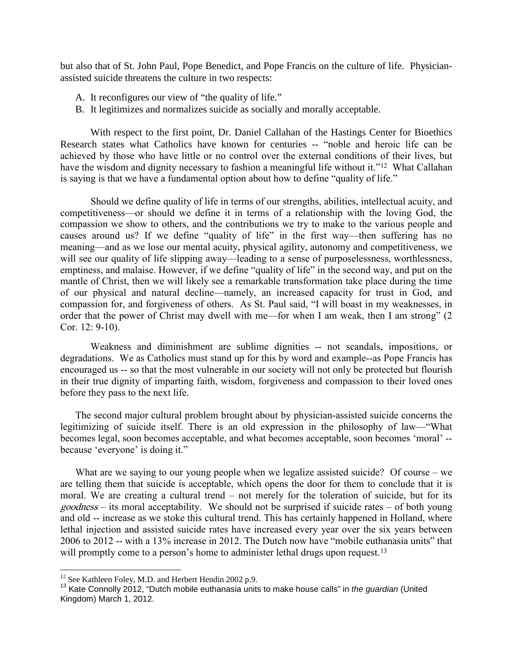but also that of St. John Paul, Pope Benedict, and Pope Francis on the culture of life. Physicianassisted suicide threatens the culture in two respects:

- A. It reconfigures our view of "the quality of life."
- B. It legitimizes and normalizes suicide as socially and morally acceptable.

With respect to the first point, Dr. Daniel Callahan of the Hastings Center for Bioethics Research states what Catholics have known for centuries -- "noble and heroic life can be achieved by those who have little or no control over the external conditions of their lives, but have the wisdom and dignity necessary to fashion a meaningful life without it."<sup>[12](#page-3-0)</sup> What Callahan is saying is that we have a fundamental option about how to define "quality of life."

Should we define quality of life in terms of our strengths, abilities, intellectual acuity, and competitiveness—or should we define it in terms of a relationship with the loving God, the compassion we show to others, and the contributions we try to make to the various people and causes around us? If we define "quality of life" in the first way—then suffering has no meaning—and as we lose our mental acuity, physical agility, autonomy and competitiveness, we will see our quality of life slipping away—leading to a sense of purposelessness, worthlessness, emptiness, and malaise. However, if we define "quality of life" in the second way, and put on the mantle of Christ, then we will likely see a remarkable transformation take place during the time of our physical and natural decline—namely, an increased capacity for trust in God, and compassion for, and forgiveness of others. As St. Paul said, "I will boast in my weaknesses, in order that the power of Christ may dwell with me—for when I am weak, then I am strong" (2 Cor. 12: 9-10).

Weakness and diminishment are sublime dignities -- not scandals, impositions, or degradations. We as Catholics must stand up for this by word and example--as Pope Francis has encouraged us -- so that the most vulnerable in our society will not only be protected but flourish in their true dignity of imparting faith, wisdom, forgiveness and compassion to their loved ones before they pass to the next life.

The second major cultural problem brought about by physician-assisted suicide concerns the legitimizing of suicide itself. There is an old expression in the philosophy of law—"What becomes legal, soon becomes acceptable, and what becomes acceptable, soon becomes 'moral' - because 'everyone' is doing it."

What are we saying to our young people when we legalize assisted suicide? Of course – we are telling them that suicide is acceptable, which opens the door for them to conclude that it is moral. We are creating a cultural trend – not merely for the toleration of suicide, but for its goodness – its moral acceptability. We should not be surprised if suicide rates – of both young and old -- increase as we stoke this cultural trend. This has certainly happened in Holland, where lethal injection and assisted suicide rates have increased every year over the six years between 2006 to 2012 -- with a 13% increase in 2012. The Dutch now have "mobile euthanasia units" that will promptly come to a person's home to administer lethal drugs upon request.<sup>[13](#page-3-1)</sup>

<span id="page-3-1"></span><span id="page-3-0"></span><sup>&</sup>lt;sup>12</sup> See Kathleen Foley, M.D. and Herbert Hendin 2002 p.9.<br><sup>13</sup> Kate Connolly 2012, "Dutch mobile euthanasia units to make house calls" in *the quardian* (United Kingdom) March 1, 2012.